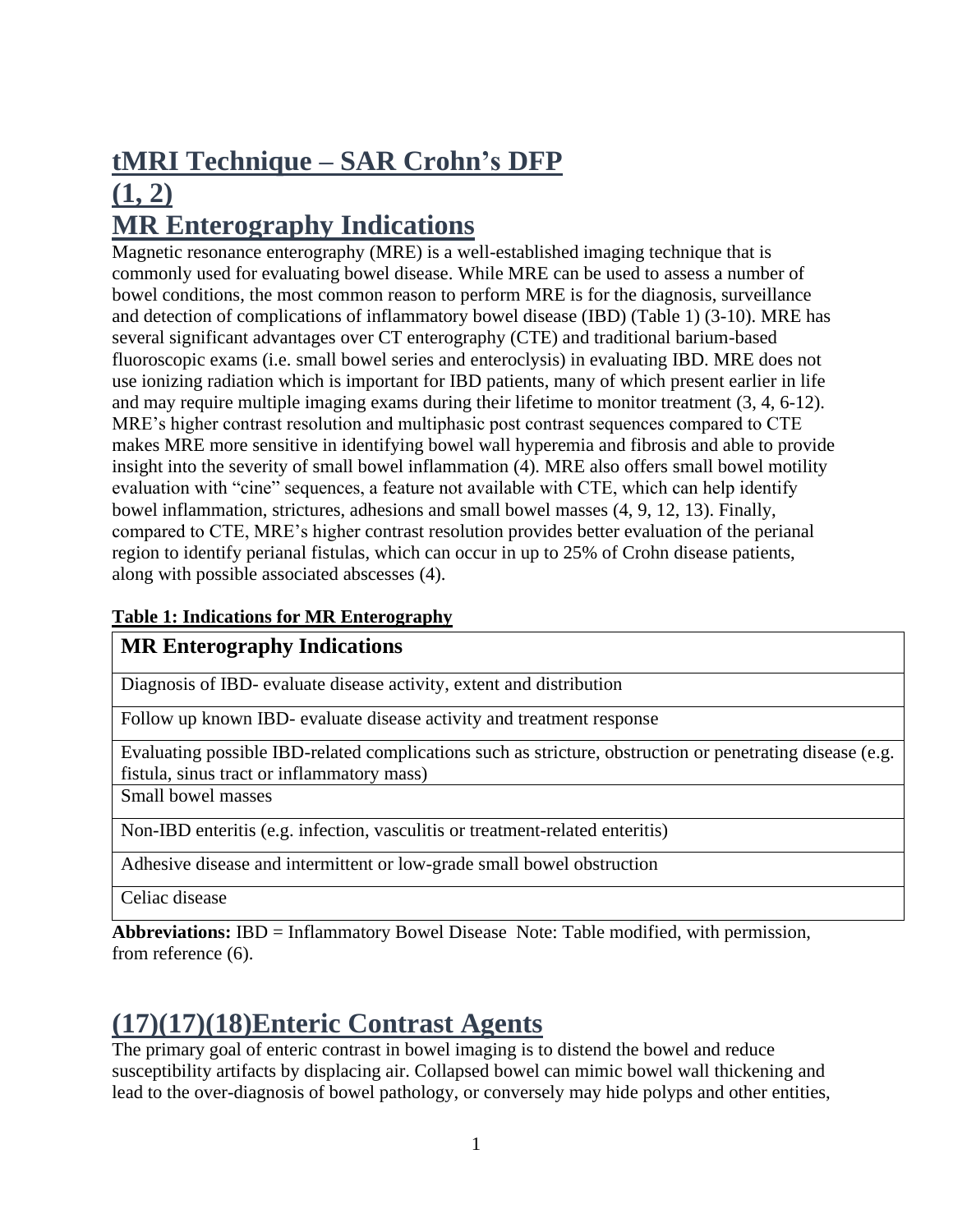# **tMRI Technique – SAR Crohn's DFP**

# **(1, 2) MR Enterography Indications**

Magnetic resonance enterography (MRE) is a well-established imaging technique that is commonly used for evaluating bowel disease. While MRE can be used to assess a number of bowel conditions, the most common reason to perform MRE is for the diagnosis, surveillance and detection of complications of inflammatory bowel disease (IBD) (Table 1) (3-10). MRE has several significant advantages over CT enterography (CTE) and traditional barium-based fluoroscopic exams (i.e. small bowel series and enteroclysis) in evaluating IBD. MRE does not use ionizing radiation which is important for IBD patients, many of which present earlier in life and may require multiple imaging exams during their lifetime to monitor treatment (3, 4, 6-12). MRE's higher contrast resolution and multiphasic post contrast sequences compared to CTE makes MRE more sensitive in identifying bowel wall hyperemia and fibrosis and able to provide insight into the severity of small bowel inflammation (4). MRE also offers small bowel motility evaluation with "cine" sequences, a feature not available with CTE, which can help identify bowel inflammation, strictures, adhesions and small bowel masses (4, 9, 12, 13). Finally, compared to CTE, MRE's higher contrast resolution provides better evaluation of the perianal region to identify perianal fistulas, which can occur in up to 25% of Crohn disease patients, along with possible associated abscesses (4).

### **Table 1: Indications for MR Enterography**

### **MR Enterography Indications**

Diagnosis of IBD- evaluate disease activity, extent and distribution

Follow up known IBD- evaluate disease activity and treatment response

Evaluating possible IBD-related complications such as stricture, obstruction or penetrating disease (e.g. fistula, sinus tract or inflammatory mass)

Small bowel masses

Non-IBD enteritis (e.g. infection, vasculitis or treatment-related enteritis)

Adhesive disease and intermittent or low-grade small bowel obstruction

Celiac disease

**Abbreviations:** IBD = Inflammatory Bowel Disease Note: Table modified, with permission, from reference (6).

# **(17)(17)(18)Enteric Contrast Agents**

The primary goal of enteric contrast in bowel imaging is to distend the bowel and reduce susceptibility artifacts by displacing air. Collapsed bowel can mimic bowel wall thickening and lead to the over-diagnosis of bowel pathology, or conversely may hide polyps and other entities,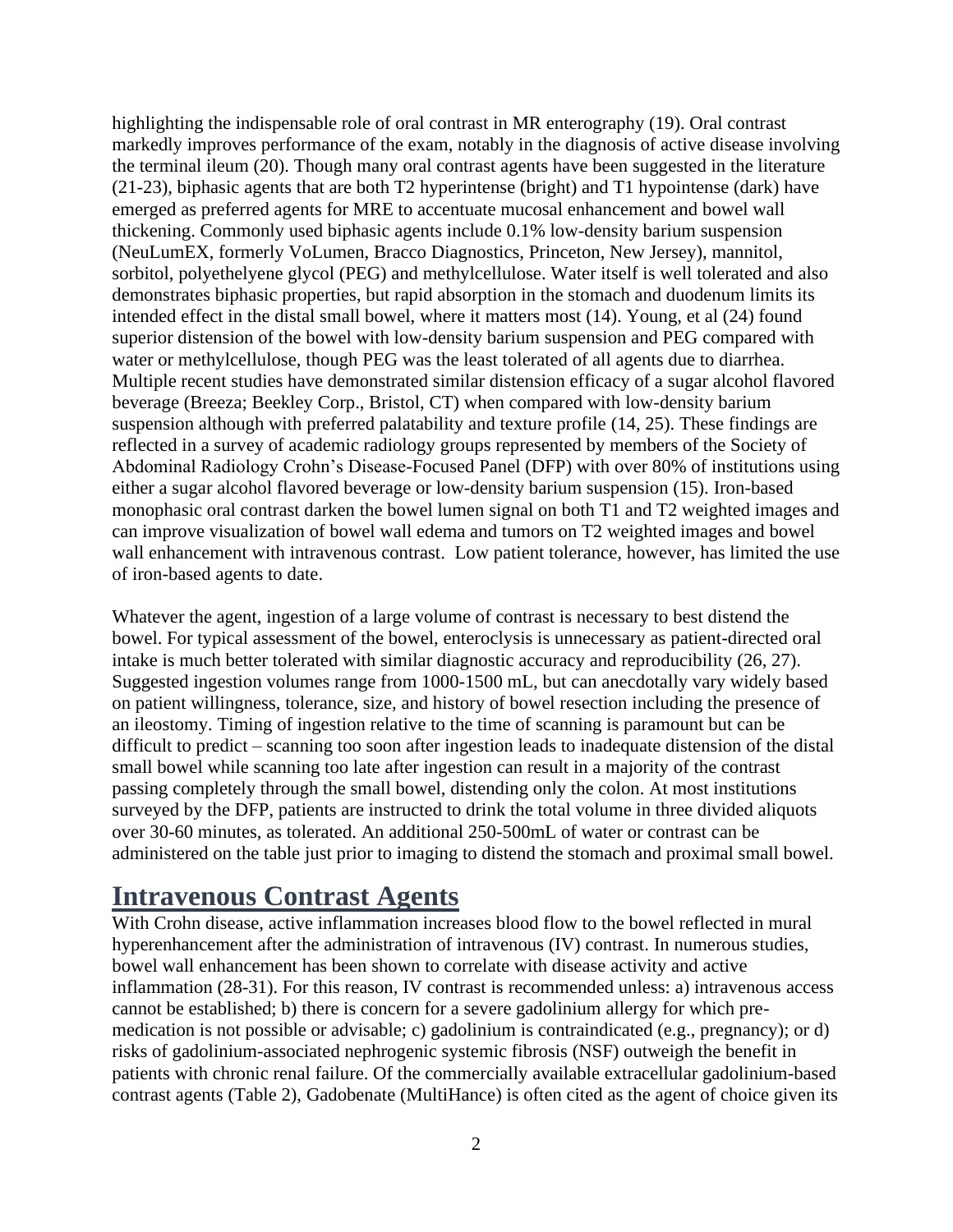highlighting the indispensable role of oral contrast in MR enterography (19). Oral contrast markedly improves performance of the exam, notably in the diagnosis of active disease involving the terminal ileum (20). Though many oral contrast agents have been suggested in the literature (21-23), biphasic agents that are both T2 hyperintense (bright) and T1 hypointense (dark) have emerged as preferred agents for MRE to accentuate mucosal enhancement and bowel wall thickening. Commonly used biphasic agents include 0.1% low-density barium suspension (NeuLumEX, formerly VoLumen, Bracco Diagnostics, Princeton, New Jersey), mannitol, sorbitol, polyethelyene glycol (PEG) and methylcellulose. Water itself is well tolerated and also demonstrates biphasic properties, but rapid absorption in the stomach and duodenum limits its intended effect in the distal small bowel, where it matters most (14). Young, et al (24) found superior distension of the bowel with low-density barium suspension and PEG compared with water or methylcellulose, though PEG was the least tolerated of all agents due to diarrhea. Multiple recent studies have demonstrated similar distension efficacy of a sugar alcohol flavored beverage (Breeza; Beekley Corp., Bristol, CT) when compared with low-density barium suspension although with preferred palatability and texture profile (14, 25). These findings are reflected in a survey of academic radiology groups represented by members of the Society of Abdominal Radiology Crohn's Disease-Focused Panel (DFP) with over 80% of institutions using either a sugar alcohol flavored beverage or low-density barium suspension (15). Iron-based monophasic oral contrast darken the bowel lumen signal on both T1 and T2 weighted images and can improve visualization of bowel wall edema and tumors on T2 weighted images and bowel wall enhancement with intravenous contrast. Low patient tolerance, however, has limited the use of iron-based agents to date.

Whatever the agent, ingestion of a large volume of contrast is necessary to best distend the bowel. For typical assessment of the bowel, enteroclysis is unnecessary as patient-directed oral intake is much better tolerated with similar diagnostic accuracy and reproducibility (26, 27). Suggested ingestion volumes range from 1000-1500 mL, but can anecdotally vary widely based on patient willingness, tolerance, size, and history of bowel resection including the presence of an ileostomy. Timing of ingestion relative to the time of scanning is paramount but can be difficult to predict – scanning too soon after ingestion leads to inadequate distension of the distal small bowel while scanning too late after ingestion can result in a majority of the contrast passing completely through the small bowel, distending only the colon. At most institutions surveyed by the DFP, patients are instructed to drink the total volume in three divided aliquots over 30-60 minutes, as tolerated. An additional 250-500mL of water or contrast can be administered on the table just prior to imaging to distend the stomach and proximal small bowel.

## **Intravenous Contrast Agents**

With Crohn disease, active inflammation increases blood flow to the bowel reflected in mural hyperenhancement after the administration of intravenous (IV) contrast. In numerous studies, bowel wall enhancement has been shown to correlate with disease activity and active inflammation (28-31). For this reason, IV contrast is recommended unless: a) intravenous access cannot be established; b) there is concern for a severe gadolinium allergy for which premedication is not possible or advisable; c) gadolinium is contraindicated (e.g., pregnancy); or d) risks of gadolinium-associated nephrogenic systemic fibrosis (NSF) outweigh the benefit in patients with chronic renal failure. Of the commercially available extracellular gadolinium-based contrast agents (Table 2), Gadobenate (MultiHance) is often cited as the agent of choice given its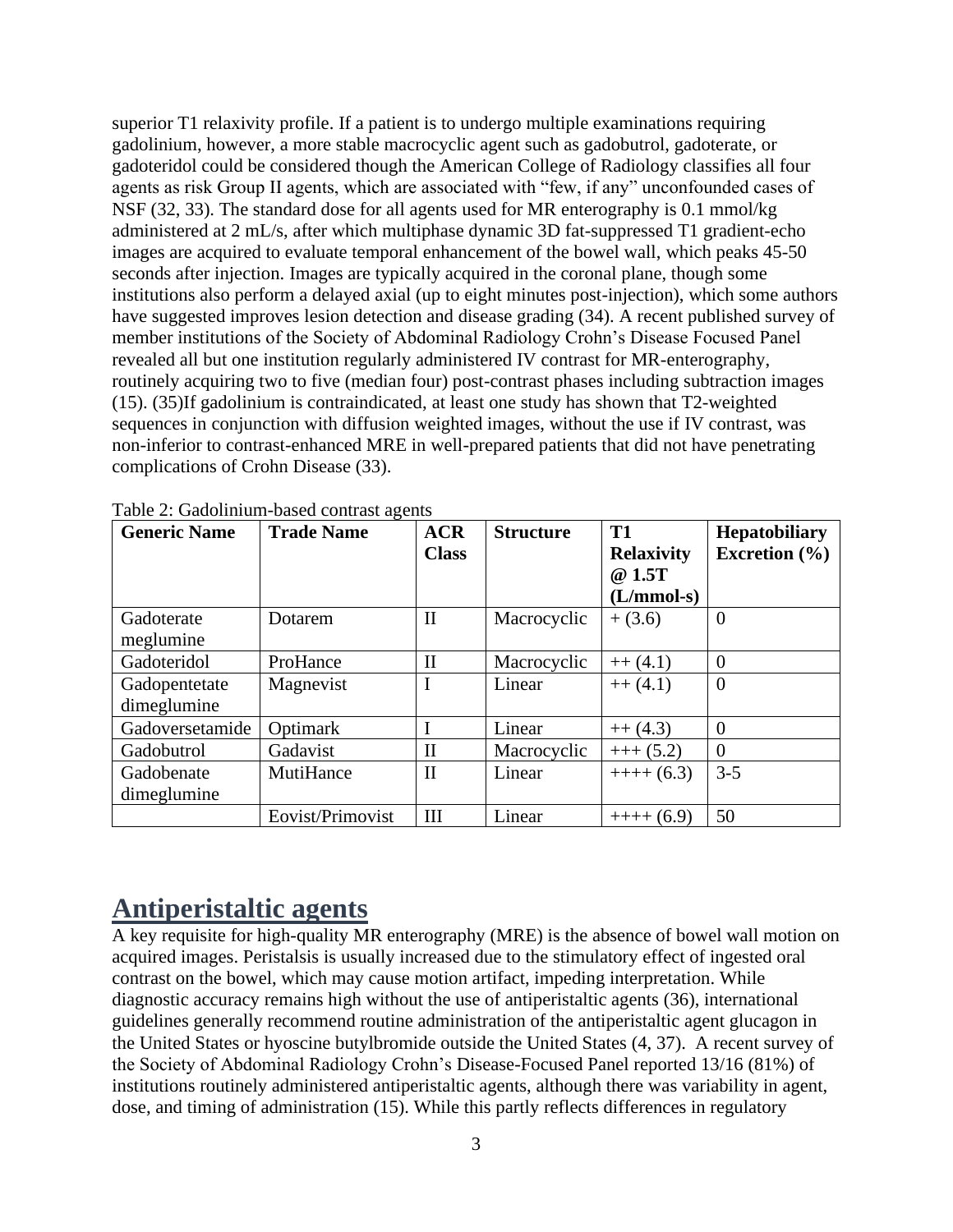superior T1 relaxivity profile. If a patient is to undergo multiple examinations requiring gadolinium, however, a more stable macrocyclic agent such as gadobutrol, gadoterate, or gadoteridol could be considered though the American College of Radiology classifies all four agents as risk Group II agents, which are associated with "few, if any" unconfounded cases of NSF (32, 33). The standard dose for all agents used for MR enterography is 0.1 mmol/kg administered at 2 mL/s, after which multiphase dynamic 3D fat-suppressed T1 gradient-echo images are acquired to evaluate temporal enhancement of the bowel wall, which peaks 45-50 seconds after injection. Images are typically acquired in the coronal plane, though some institutions also perform a delayed axial (up to eight minutes post-injection), which some authors have suggested improves lesion detection and disease grading (34). A recent published survey of member institutions of the Society of Abdominal Radiology Crohn's Disease Focused Panel revealed all but one institution regularly administered IV contrast for MR-enterography, routinely acquiring two to five (median four) post-contrast phases including subtraction images (15). (35)If gadolinium is contraindicated, at least one study has shown that T2-weighted sequences in conjunction with diffusion weighted images, without the use if IV contrast, was non-inferior to contrast-enhanced MRE in well-prepared patients that did not have penetrating complications of Crohn Disease (33).

| <b>Generic Name</b> | <b>Trade Name</b> | <b>ACR</b>   | <b>Structure</b> | <b>T1</b>         | <b>Hepatobiliary</b> |
|---------------------|-------------------|--------------|------------------|-------------------|----------------------|
|                     |                   | <b>Class</b> |                  | <b>Relaxivity</b> | Excretion $(\% )$    |
|                     |                   |              |                  | @ 1.5T            |                      |
|                     |                   |              |                  | $(L/mmol-s)$      |                      |
| Gadoterate          | Dotarem           | $\mathbf{I}$ | Macrocyclic      | $+(3.6)$          | $\overline{0}$       |
| meglumine           |                   |              |                  |                   |                      |
| Gadoteridol         | ProHance          | $\mathbf{I}$ | Macrocyclic      | $++(4.1)$         | $\theta$             |
| Gadopentetate       | Magnevist         | I            | Linear           | $++(4.1)$         | $\overline{0}$       |
| dimeglumine         |                   |              |                  |                   |                      |
| Gadoversetamide     | Optimark          |              | Linear           | $++(4.3)$         | $\theta$             |
| Gadobutrol          | Gadavist          | $\mathbf{I}$ | Macrocyclic      | $++(5.2)$         | $\overline{0}$       |
| Gadobenate          | MutiHance         | $\mathbf{H}$ | Linear           | $+++ (6.3)$       | $3 - 5$              |
| dimeglumine         |                   |              |                  |                   |                      |
|                     | Eovist/Primovist  | Ш            | Linear           | $+++ (6.9)$       | 50                   |

Table 2: Gadolinium-based contrast agents

### **Antiperistaltic agents**

A key requisite for high-quality MR enterography (MRE) is the absence of bowel wall motion on acquired images. Peristalsis is usually increased due to the stimulatory effect of ingested oral contrast on the bowel, which may cause motion artifact, impeding interpretation. While diagnostic accuracy remains high without the use of antiperistaltic agents (36), international guidelines generally recommend routine administration of the antiperistaltic agent glucagon in the United States or hyoscine butylbromide outside the United States (4, 37). A recent survey of the Society of Abdominal Radiology Crohn's Disease-Focused Panel reported 13/16 (81%) of institutions routinely administered antiperistaltic agents, although there was variability in agent, dose, and timing of administration (15). While this partly reflects differences in regulatory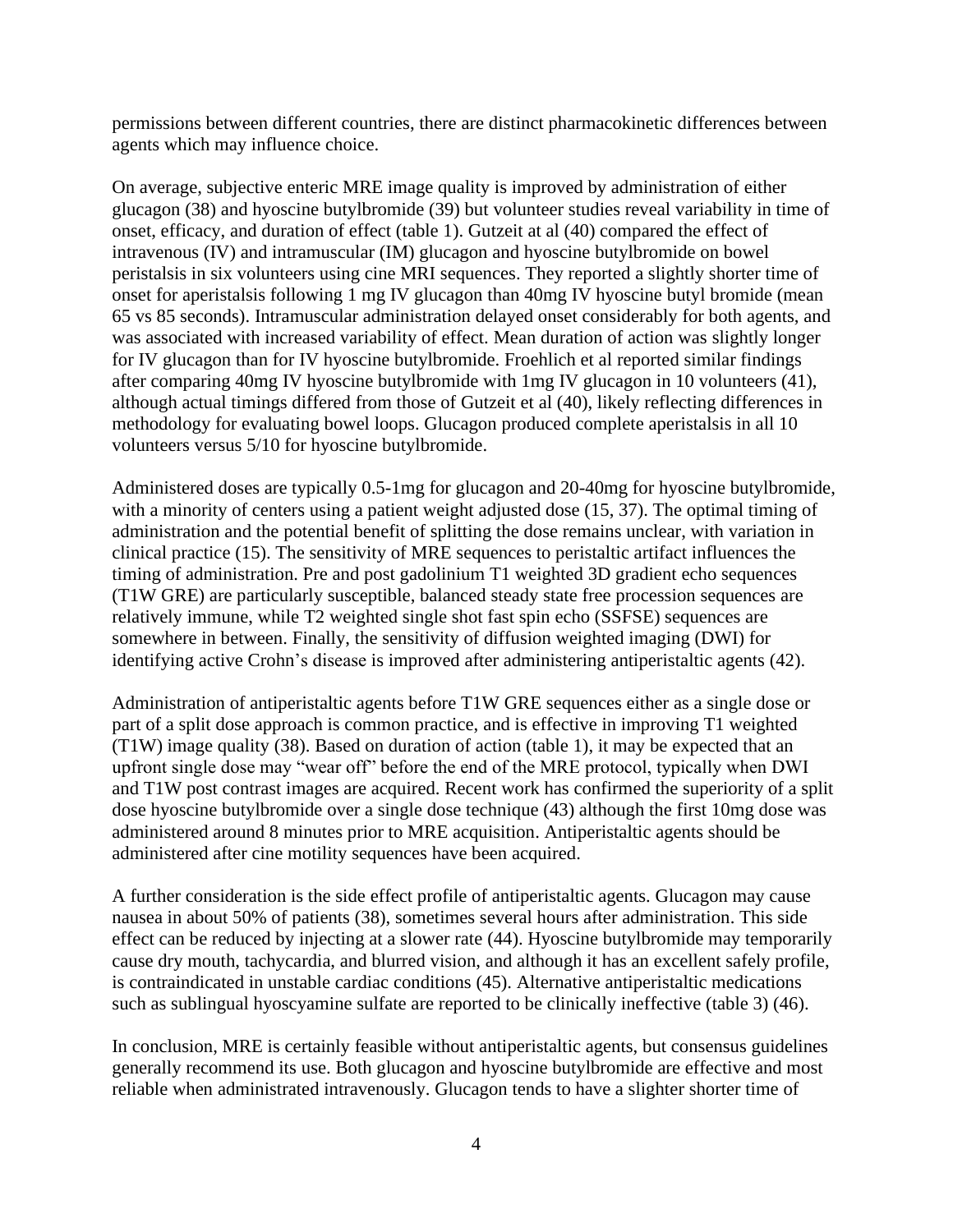permissions between different countries, there are distinct pharmacokinetic differences between agents which may influence choice.

On average, subjective enteric MRE image quality is improved by administration of either glucagon (38) and hyoscine butylbromide (39) but volunteer studies reveal variability in time of onset, efficacy, and duration of effect (table 1). Gutzeit at al (40) compared the effect of intravenous (IV) and intramuscular (IM) glucagon and hyoscine butylbromide on bowel peristalsis in six volunteers using cine MRI sequences. They reported a slightly shorter time of onset for aperistalsis following 1 mg IV glucagon than 40mg IV hyoscine butyl bromide (mean 65 vs 85 seconds). Intramuscular administration delayed onset considerably for both agents, and was associated with increased variability of effect. Mean duration of action was slightly longer for IV glucagon than for IV hyoscine butylbromide. Froehlich et al reported similar findings after comparing 40mg IV hyoscine butylbromide with 1mg IV glucagon in 10 volunteers (41), although actual timings differed from those of Gutzeit et al (40), likely reflecting differences in methodology for evaluating bowel loops. Glucagon produced complete aperistalsis in all 10 volunteers versus 5/10 for hyoscine butylbromide.

Administered doses are typically 0.5-1mg for glucagon and 20-40mg for hyoscine butylbromide, with a minority of centers using a patient weight adjusted dose (15, 37). The optimal timing of administration and the potential benefit of splitting the dose remains unclear, with variation in clinical practice (15). The sensitivity of MRE sequences to peristaltic artifact influences the timing of administration. Pre and post gadolinium T1 weighted 3D gradient echo sequences (T1W GRE) are particularly susceptible, balanced steady state free procession sequences are relatively immune, while T2 weighted single shot fast spin echo (SSFSE) sequences are somewhere in between. Finally, the sensitivity of diffusion weighted imaging (DWI) for identifying active Crohn's disease is improved after administering antiperistaltic agents (42).

Administration of antiperistaltic agents before T1W GRE sequences either as a single dose or part of a split dose approach is common practice, and is effective in improving T1 weighted (T1W) image quality (38). Based on duration of action (table 1), it may be expected that an upfront single dose may "wear off" before the end of the MRE protocol, typically when DWI and T1W post contrast images are acquired. Recent work has confirmed the superiority of a split dose hyoscine butylbromide over a single dose technique (43) although the first 10mg dose was administered around 8 minutes prior to MRE acquisition. Antiperistaltic agents should be administered after cine motility sequences have been acquired.

A further consideration is the side effect profile of antiperistaltic agents. Glucagon may cause nausea in about 50% of patients (38), sometimes several hours after administration. This side effect can be reduced by injecting at a slower rate (44). Hyoscine butylbromide may temporarily cause dry mouth, tachycardia, and blurred vision, and although it has an excellent safely profile, is contraindicated in unstable cardiac conditions (45). Alternative antiperistaltic medications such as sublingual hyoscyamine sulfate are reported to be clinically ineffective (table 3) (46).

In conclusion, MRE is certainly feasible without antiperistaltic agents, but consensus guidelines generally recommend its use. Both glucagon and hyoscine butylbromide are effective and most reliable when administrated intravenously. Glucagon tends to have a slighter shorter time of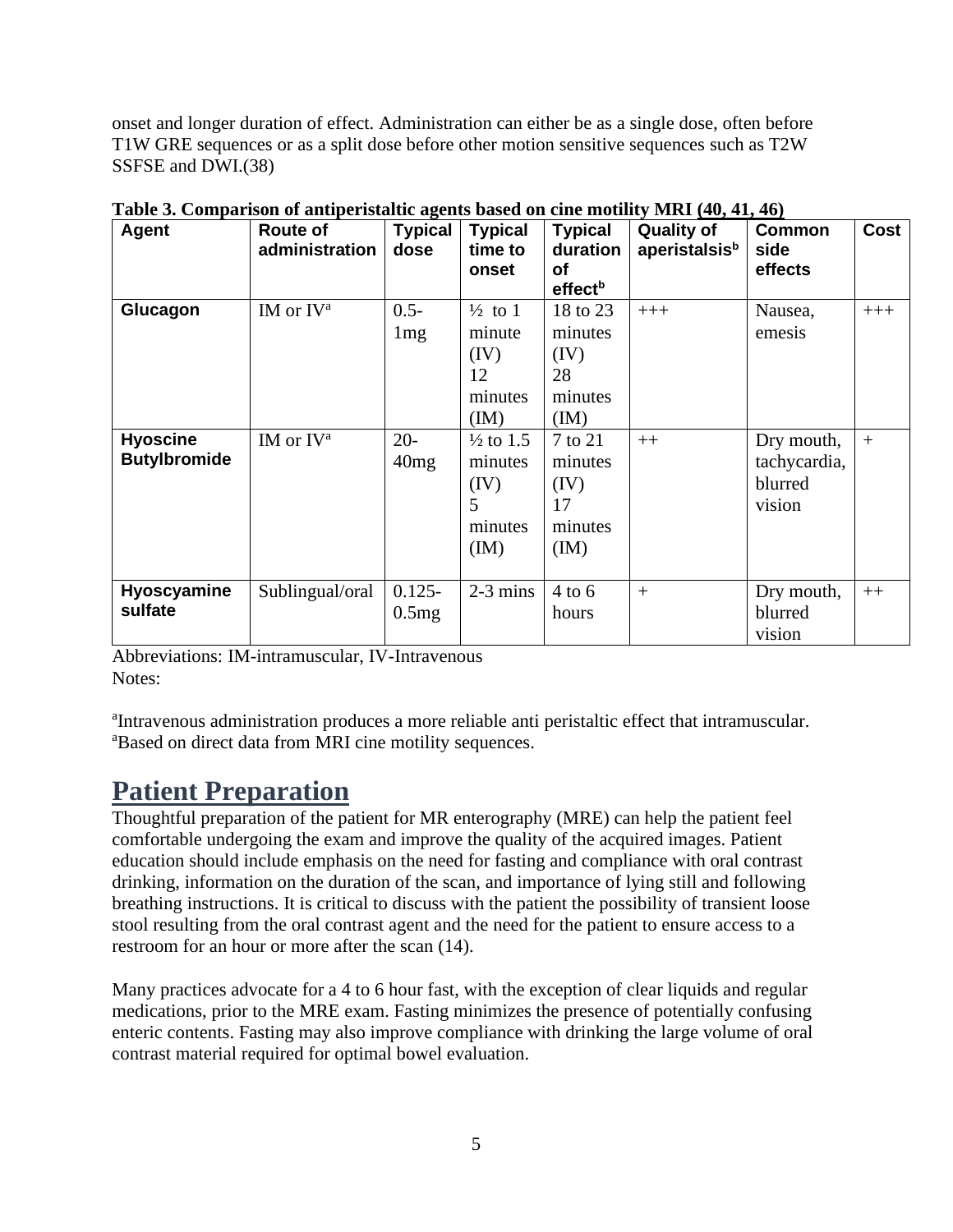onset and longer duration of effect. Administration can either be as a single dose, often before T1W GRE sequences or as a split dose before other motion sensitive sequences such as T2W SSFSE and DWI.(38)

| Agent                                  | Route of<br>administration | <b>Typical</b><br>dose | <b>Typical</b><br>time to<br>onset                              | <b>Typical</b><br>duration<br>of<br>effect <sup>b</sup> | <b>Quality of</b><br>aperistalsisb | <b>Common</b><br>side<br>effects                | Cost  |
|----------------------------------------|----------------------------|------------------------|-----------------------------------------------------------------|---------------------------------------------------------|------------------------------------|-------------------------------------------------|-------|
| Glucagon                               | IM or $IV^a$               | $0.5 -$<br>1mg         | $\frac{1}{2}$ to 1<br>minute<br>(IV)<br>12<br>minutes<br>(IM)   | 18 to 23<br>minutes<br>(IV)<br>28<br>minutes<br>(IM)    | $+++$                              | Nausea,<br>emesis                               | $+++$ |
| <b>Hyoscine</b><br><b>Butylbromide</b> | IM or $IV^a$               | $20 -$<br>40mg         | $\frac{1}{2}$ to 1.5<br>minutes<br>(IV)<br>5<br>minutes<br>(IM) | 7 to 21<br>minutes<br>(IV)<br>17<br>minutes<br>(IM)     | $++$                               | Dry mouth,<br>tachycardia,<br>blurred<br>vision | $+$   |
| Hyoscyamine<br>sulfate                 | Sublingual/oral            | $0.125 -$<br>0.5mg     | $2-3$ mins                                                      | $4$ to 6<br>hours                                       | $+$                                | Dry mouth,<br>blurred<br>vision                 | $++$  |

**Table 3. Comparison of antiperistaltic agents based on cine motility MRI (40, 41, 46)**

Abbreviations: IM-intramuscular, IV-Intravenous Notes:

<sup>a</sup>Intravenous administration produces a more reliable anti peristaltic effect that intramuscular. <sup>a</sup>Based on direct data from MRI cine motility sequences.

# **Patient Preparation**

Thoughtful preparation of the patient for MR enterography (MRE) can help the patient feel comfortable undergoing the exam and improve the quality of the acquired images. Patient education should include emphasis on the need for fasting and compliance with oral contrast drinking, information on the duration of the scan, and importance of lying still and following breathing instructions. It is critical to discuss with the patient the possibility of transient loose stool resulting from the oral contrast agent and the need for the patient to ensure access to a restroom for an hour or more after the scan (14).

Many practices advocate for a 4 to 6 hour fast, with the exception of clear liquids and regular medications, prior to the MRE exam. Fasting minimizes the presence of potentially confusing enteric contents. Fasting may also improve compliance with drinking the large volume of oral contrast material required for optimal bowel evaluation.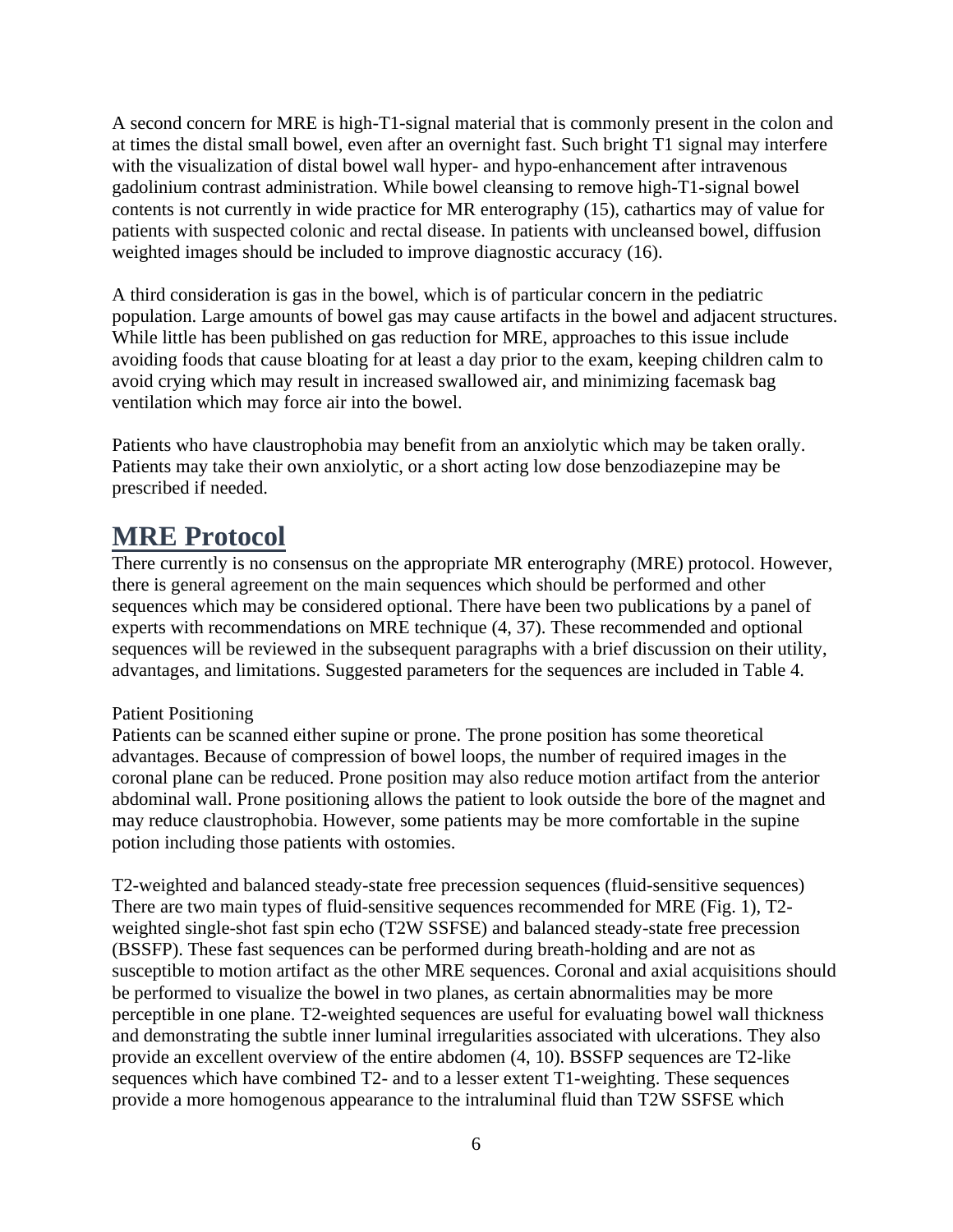A second concern for MRE is high-T1-signal material that is commonly present in the colon and at times the distal small bowel, even after an overnight fast. Such bright T1 signal may interfere with the visualization of distal bowel wall hyper- and hypo-enhancement after intravenous gadolinium contrast administration. While bowel cleansing to remove high-T1-signal bowel contents is not currently in wide practice for MR enterography (15), cathartics may of value for patients with suspected colonic and rectal disease. In patients with uncleansed bowel, diffusion weighted images should be included to improve diagnostic accuracy (16).

A third consideration is gas in the bowel, which is of particular concern in the pediatric population. Large amounts of bowel gas may cause artifacts in the bowel and adjacent structures. While little has been published on gas reduction for MRE, approaches to this issue include avoiding foods that cause bloating for at least a day prior to the exam, keeping children calm to avoid crying which may result in increased swallowed air, and minimizing facemask bag ventilation which may force air into the bowel.

Patients who have claustrophobia may benefit from an anxiolytic which may be taken orally. Patients may take their own anxiolytic, or a short acting low dose benzodiazepine may be prescribed if needed.

## **MRE Protocol**

There currently is no consensus on the appropriate MR enterography (MRE) protocol. However, there is general agreement on the main sequences which should be performed and other sequences which may be considered optional. There have been two publications by a panel of experts with recommendations on MRE technique (4, 37). These recommended and optional sequences will be reviewed in the subsequent paragraphs with a brief discussion on their utility, advantages, and limitations. Suggested parameters for the sequences are included in Table 4.

#### Patient Positioning

Patients can be scanned either supine or prone. The prone position has some theoretical advantages. Because of compression of bowel loops, the number of required images in the coronal plane can be reduced. Prone position may also reduce motion artifact from the anterior abdominal wall. Prone positioning allows the patient to look outside the bore of the magnet and may reduce claustrophobia. However, some patients may be more comfortable in the supine potion including those patients with ostomies.

T2-weighted and balanced steady-state free precession sequences (fluid-sensitive sequences) There are two main types of fluid-sensitive sequences recommended for MRE (Fig. 1), T2 weighted single-shot fast spin echo (T2W SSFSE) and balanced steady-state free precession (BSSFP). These fast sequences can be performed during breath-holding and are not as susceptible to motion artifact as the other MRE sequences. Coronal and axial acquisitions should be performed to visualize the bowel in two planes, as certain abnormalities may be more perceptible in one plane. T2-weighted sequences are useful for evaluating bowel wall thickness and demonstrating the subtle inner luminal irregularities associated with ulcerations. They also provide an excellent overview of the entire abdomen (4, 10). BSSFP sequences are T2-like sequences which have combined T2- and to a lesser extent T1-weighting. These sequences provide a more homogenous appearance to the intraluminal fluid than T2W SSFSE which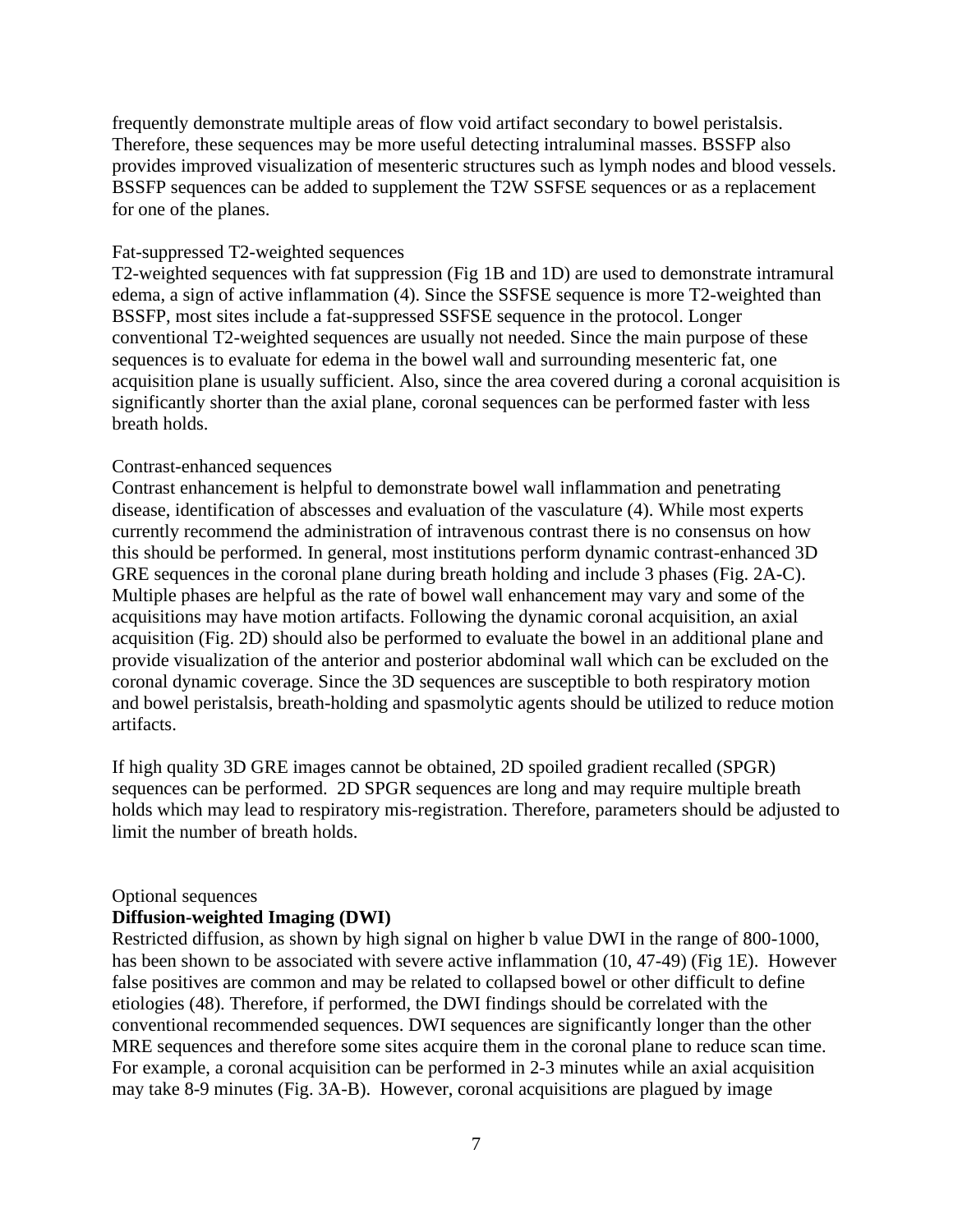frequently demonstrate multiple areas of flow void artifact secondary to bowel peristalsis. Therefore, these sequences may be more useful detecting intraluminal masses. BSSFP also provides improved visualization of mesenteric structures such as lymph nodes and blood vessels. BSSFP sequences can be added to supplement the T2W SSFSE sequences or as a replacement for one of the planes.

#### Fat-suppressed T2-weighted sequences

T2-weighted sequences with fat suppression (Fig 1B and 1D) are used to demonstrate intramural edema, a sign of active inflammation (4). Since the SSFSE sequence is more T2-weighted than BSSFP, most sites include a fat-suppressed SSFSE sequence in the protocol. Longer conventional T2-weighted sequences are usually not needed. Since the main purpose of these sequences is to evaluate for edema in the bowel wall and surrounding mesenteric fat, one acquisition plane is usually sufficient. Also, since the area covered during a coronal acquisition is significantly shorter than the axial plane, coronal sequences can be performed faster with less breath holds.

#### Contrast-enhanced sequences

Contrast enhancement is helpful to demonstrate bowel wall inflammation and penetrating disease, identification of abscesses and evaluation of the vasculature (4). While most experts currently recommend the administration of intravenous contrast there is no consensus on how this should be performed. In general, most institutions perform dynamic contrast-enhanced 3D GRE sequences in the coronal plane during breath holding and include 3 phases (Fig. 2A-C). Multiple phases are helpful as the rate of bowel wall enhancement may vary and some of the acquisitions may have motion artifacts. Following the dynamic coronal acquisition, an axial acquisition (Fig. 2D) should also be performed to evaluate the bowel in an additional plane and provide visualization of the anterior and posterior abdominal wall which can be excluded on the coronal dynamic coverage. Since the 3D sequences are susceptible to both respiratory motion and bowel peristalsis, breath-holding and spasmolytic agents should be utilized to reduce motion artifacts.

If high quality 3D GRE images cannot be obtained, 2D spoiled gradient recalled (SPGR) sequences can be performed. 2D SPGR sequences are long and may require multiple breath holds which may lead to respiratory mis-registration. Therefore, parameters should be adjusted to limit the number of breath holds.

#### Optional sequences

#### **Diffusion-weighted Imaging (DWI)**

Restricted diffusion, as shown by high signal on higher b value DWI in the range of 800-1000, has been shown to be associated with severe active inflammation (10, 47-49) (Fig 1E). However false positives are common and may be related to collapsed bowel or other difficult to define etiologies (48). Therefore, if performed, the DWI findings should be correlated with the conventional recommended sequences. DWI sequences are significantly longer than the other MRE sequences and therefore some sites acquire them in the coronal plane to reduce scan time. For example, a coronal acquisition can be performed in 2-3 minutes while an axial acquisition may take 8-9 minutes (Fig. 3A-B). However, coronal acquisitions are plagued by image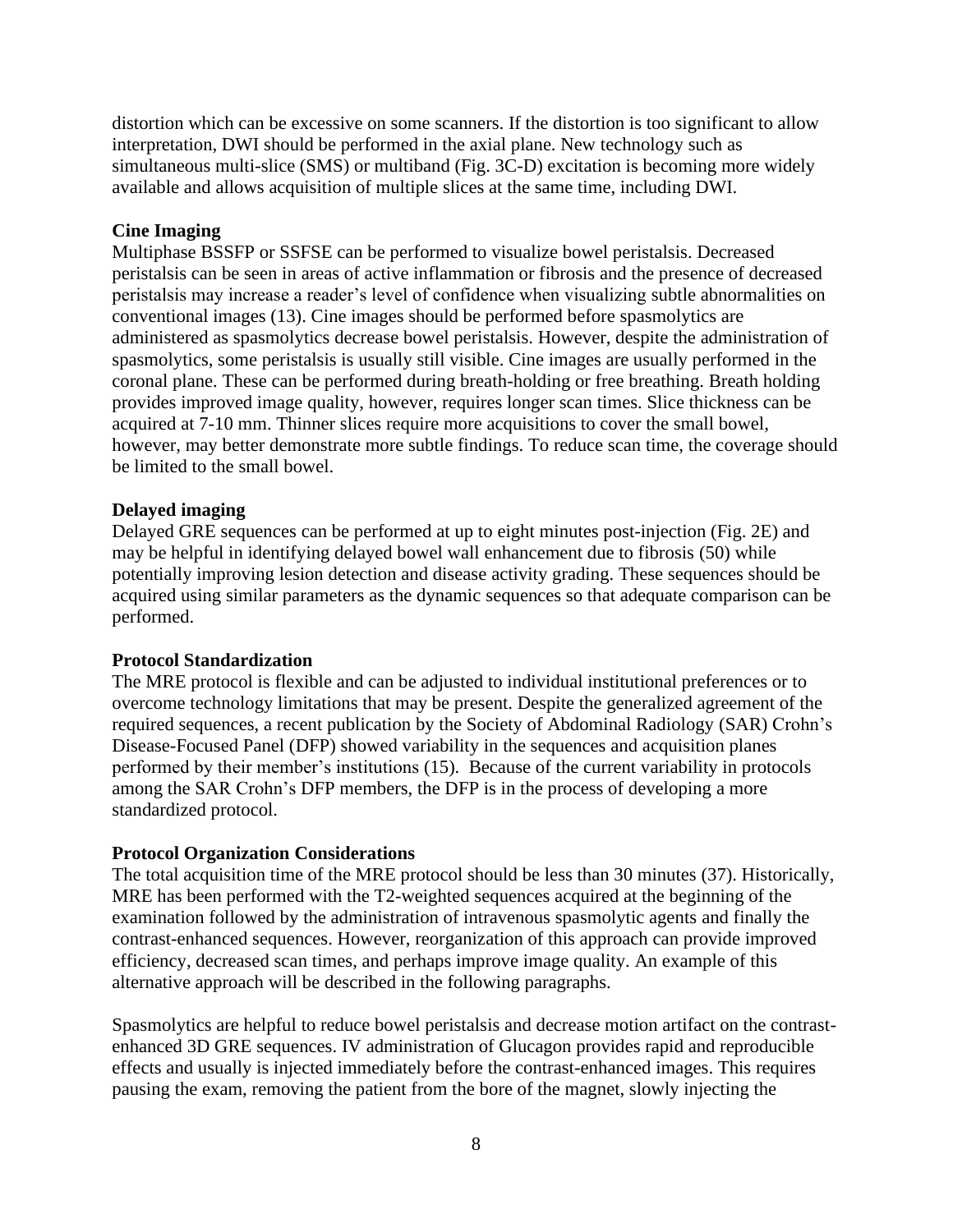distortion which can be excessive on some scanners. If the distortion is too significant to allow interpretation, DWI should be performed in the axial plane. New technology such as simultaneous multi-slice (SMS) or multiband (Fig. 3C-D) excitation is becoming more widely available and allows acquisition of multiple slices at the same time, including DWI.

#### **Cine Imaging**

Multiphase BSSFP or SSFSE can be performed to visualize bowel peristalsis. Decreased peristalsis can be seen in areas of active inflammation or fibrosis and the presence of decreased peristalsis may increase a reader's level of confidence when visualizing subtle abnormalities on conventional images (13). Cine images should be performed before spasmolytics are administered as spasmolytics decrease bowel peristalsis. However, despite the administration of spasmolytics, some peristalsis is usually still visible. Cine images are usually performed in the coronal plane. These can be performed during breath-holding or free breathing. Breath holding provides improved image quality, however, requires longer scan times. Slice thickness can be acquired at 7-10 mm. Thinner slices require more acquisitions to cover the small bowel, however, may better demonstrate more subtle findings. To reduce scan time, the coverage should be limited to the small bowel.

#### **Delayed imaging**

Delayed GRE sequences can be performed at up to eight minutes post-injection (Fig. 2E) and may be helpful in identifying delayed bowel wall enhancement due to fibrosis (50) while potentially improving lesion detection and disease activity grading. These sequences should be acquired using similar parameters as the dynamic sequences so that adequate comparison can be performed.

#### **Protocol Standardization**

The MRE protocol is flexible and can be adjusted to individual institutional preferences or to overcome technology limitations that may be present. Despite the generalized agreement of the required sequences, a recent publication by the Society of Abdominal Radiology (SAR) Crohn's Disease-Focused Panel (DFP) showed variability in the sequences and acquisition planes performed by their member's institutions (15). Because of the current variability in protocols among the SAR Crohn's DFP members, the DFP is in the process of developing a more standardized protocol.

#### **Protocol Organization Considerations**

The total acquisition time of the MRE protocol should be less than 30 minutes (37). Historically, MRE has been performed with the T2-weighted sequences acquired at the beginning of the examination followed by the administration of intravenous spasmolytic agents and finally the contrast-enhanced sequences. However, reorganization of this approach can provide improved efficiency, decreased scan times, and perhaps improve image quality. An example of this alternative approach will be described in the following paragraphs.

Spasmolytics are helpful to reduce bowel peristalsis and decrease motion artifact on the contrastenhanced 3D GRE sequences. IV administration of Glucagon provides rapid and reproducible effects and usually is injected immediately before the contrast-enhanced images. This requires pausing the exam, removing the patient from the bore of the magnet, slowly injecting the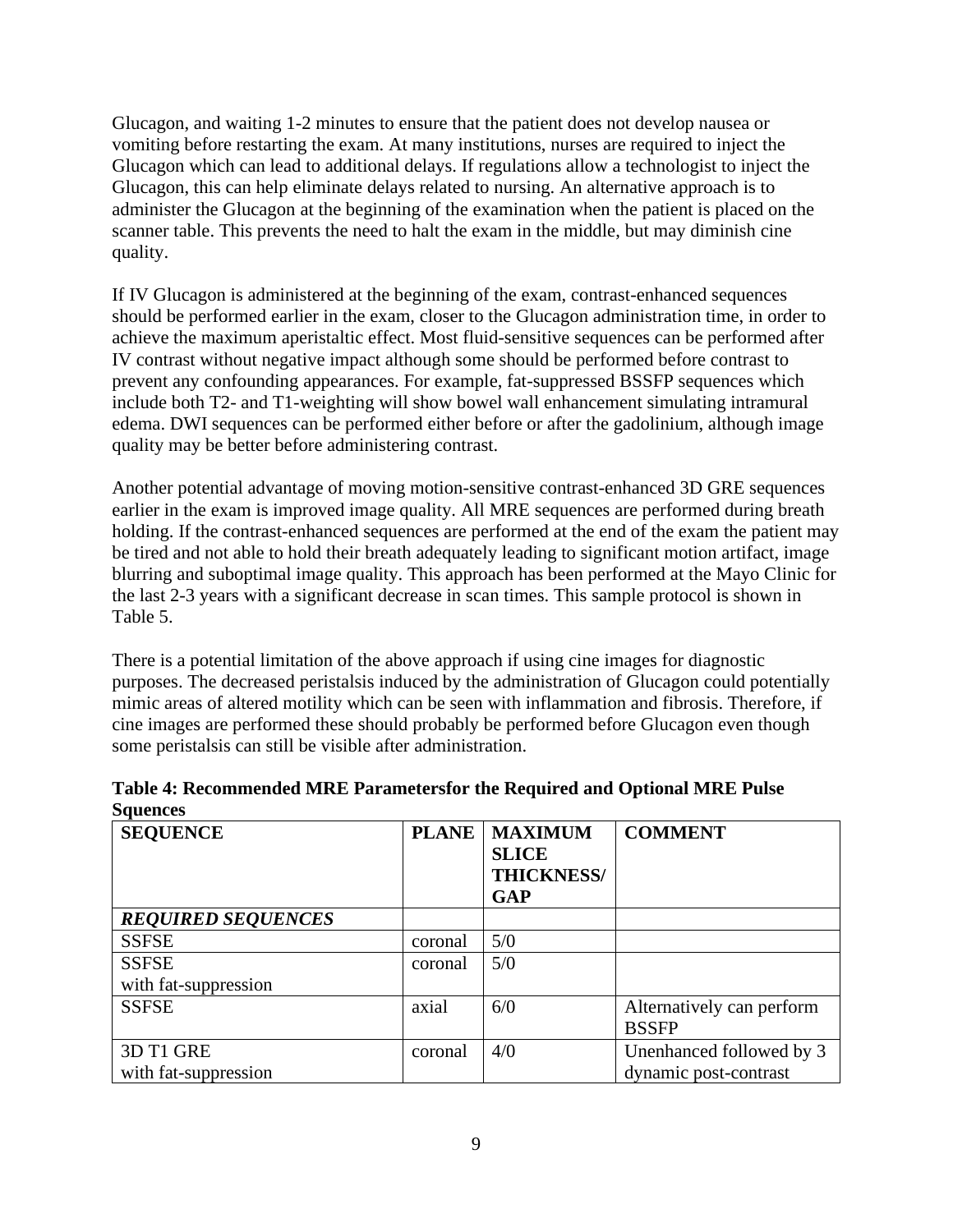Glucagon, and waiting 1-2 minutes to ensure that the patient does not develop nausea or vomiting before restarting the exam. At many institutions, nurses are required to inject the Glucagon which can lead to additional delays. If regulations allow a technologist to inject the Glucagon, this can help eliminate delays related to nursing. An alternative approach is to administer the Glucagon at the beginning of the examination when the patient is placed on the scanner table. This prevents the need to halt the exam in the middle, but may diminish cine quality.

If IV Glucagon is administered at the beginning of the exam, contrast-enhanced sequences should be performed earlier in the exam, closer to the Glucagon administration time, in order to achieve the maximum aperistaltic effect. Most fluid-sensitive sequences can be performed after IV contrast without negative impact although some should be performed before contrast to prevent any confounding appearances. For example, fat-suppressed BSSFP sequences which include both T2- and T1-weighting will show bowel wall enhancement simulating intramural edema. DWI sequences can be performed either before or after the gadolinium, although image quality may be better before administering contrast.

Another potential advantage of moving motion-sensitive contrast-enhanced 3D GRE sequences earlier in the exam is improved image quality. All MRE sequences are performed during breath holding. If the contrast-enhanced sequences are performed at the end of the exam the patient may be tired and not able to hold their breath adequately leading to significant motion artifact, image blurring and suboptimal image quality. This approach has been performed at the Mayo Clinic for the last 2-3 years with a significant decrease in scan times. This sample protocol is shown in Table 5.

There is a potential limitation of the above approach if using cine images for diagnostic purposes. The decreased peristalsis induced by the administration of Glucagon could potentially mimic areas of altered motility which can be seen with inflammation and fibrosis. Therefore, if cine images are performed these should probably be performed before Glucagon even though some peristalsis can still be visible after administration.

| byuchces                  |              |                                |                           |
|---------------------------|--------------|--------------------------------|---------------------------|
| <b>SEQUENCE</b>           | <b>PLANE</b> | <b>MAXIMUM</b><br><b>SLICE</b> | <b>COMMENT</b>            |
|                           |              | <b>THICKNESS/</b>              |                           |
|                           |              | <b>GAP</b>                     |                           |
| <b>REQUIRED SEQUENCES</b> |              |                                |                           |
| <b>SSFSE</b>              | coronal      | 5/0                            |                           |
| <b>SSFSE</b>              | coronal      | 5/0                            |                           |
| with fat-suppression      |              |                                |                           |
| <b>SSFSE</b>              | axial        | 6/0                            | Alternatively can perform |
|                           |              |                                | <b>BSSFP</b>              |
| 3D T1 GRE                 | coronal      | 4/0                            | Unenhanced followed by 3  |
| with fat-suppression      |              |                                | dynamic post-contrast     |

### **Table 4: Recommended MRE Parametersfor the Required and Optional MRE Pulse Squences**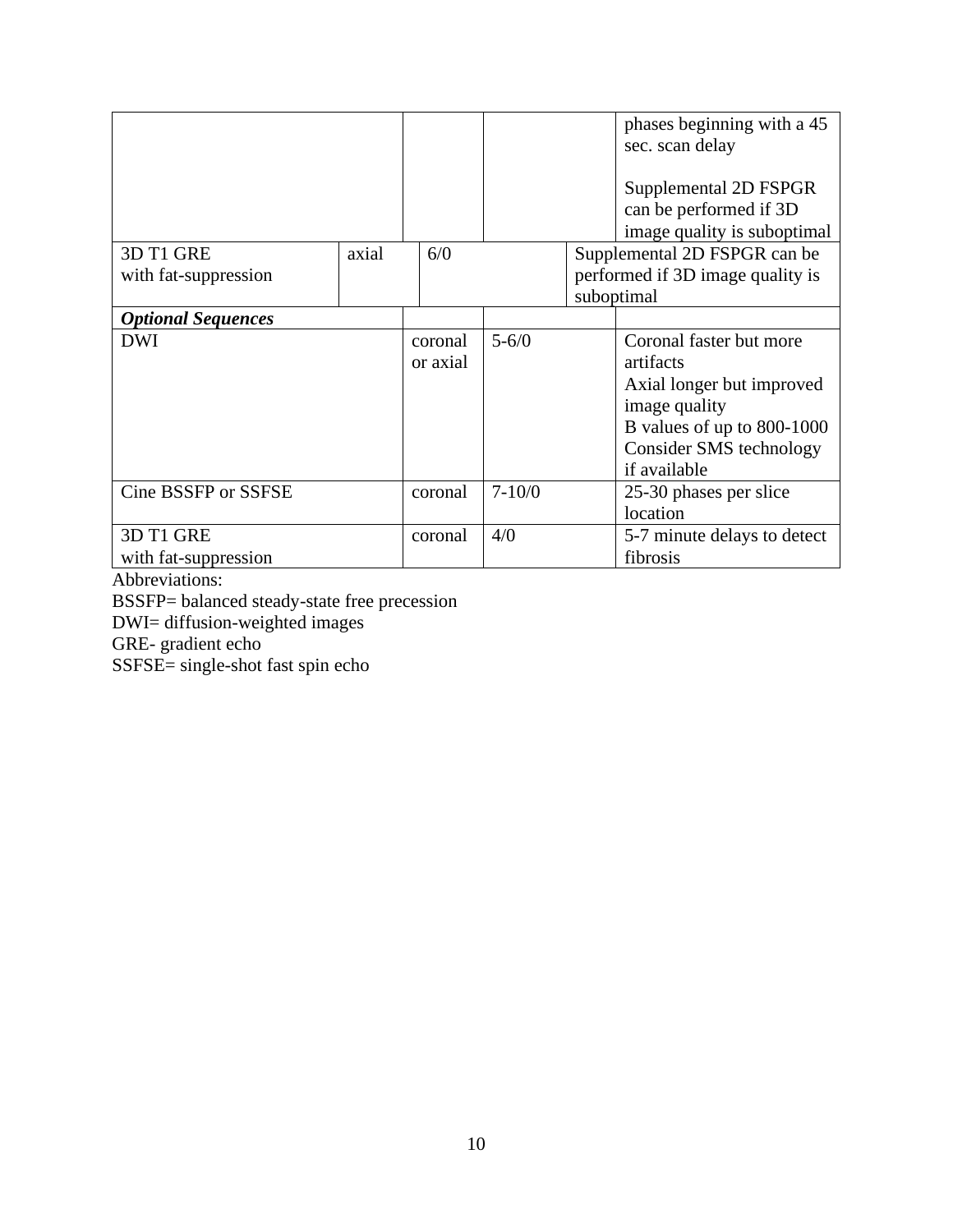|                           |       |          |            | phases beginning with a 45<br>sec. scan delay<br>Supplemental 2D FSPGR<br>can be performed if 3D<br>image quality is suboptimal |
|---------------------------|-------|----------|------------|---------------------------------------------------------------------------------------------------------------------------------|
| 3D T1 GRE                 | axial | 6/0      |            | Supplemental 2D FSPGR can be                                                                                                    |
| with fat-suppression      |       |          |            | performed if 3D image quality is                                                                                                |
|                           |       |          |            | suboptimal                                                                                                                      |
| <b>Optional Sequences</b> |       |          |            |                                                                                                                                 |
| <b>DWI</b>                |       | coronal  | $5 - 6/0$  | Coronal faster but more                                                                                                         |
|                           |       | or axial |            | artifacts                                                                                                                       |
|                           |       |          |            | Axial longer but improved                                                                                                       |
|                           |       |          |            | image quality                                                                                                                   |
|                           |       |          |            | B values of up to 800-1000                                                                                                      |
|                           |       |          |            | Consider SMS technology                                                                                                         |
|                           |       |          |            | if available                                                                                                                    |
| Cine BSSFP or SSFSE       |       | coronal  | $7 - 10/0$ | 25-30 phases per slice                                                                                                          |
|                           |       |          |            | location                                                                                                                        |
| 3D T1 GRE                 |       | coronal  | 4/0        | 5-7 minute delays to detect                                                                                                     |
| with fat-suppression      |       |          |            | fibrosis                                                                                                                        |

Abbreviations:

BSSFP= balanced steady-state free precession

DWI= diffusion-weighted images

GRE- gradient echo

SSFSE= single-shot fast spin echo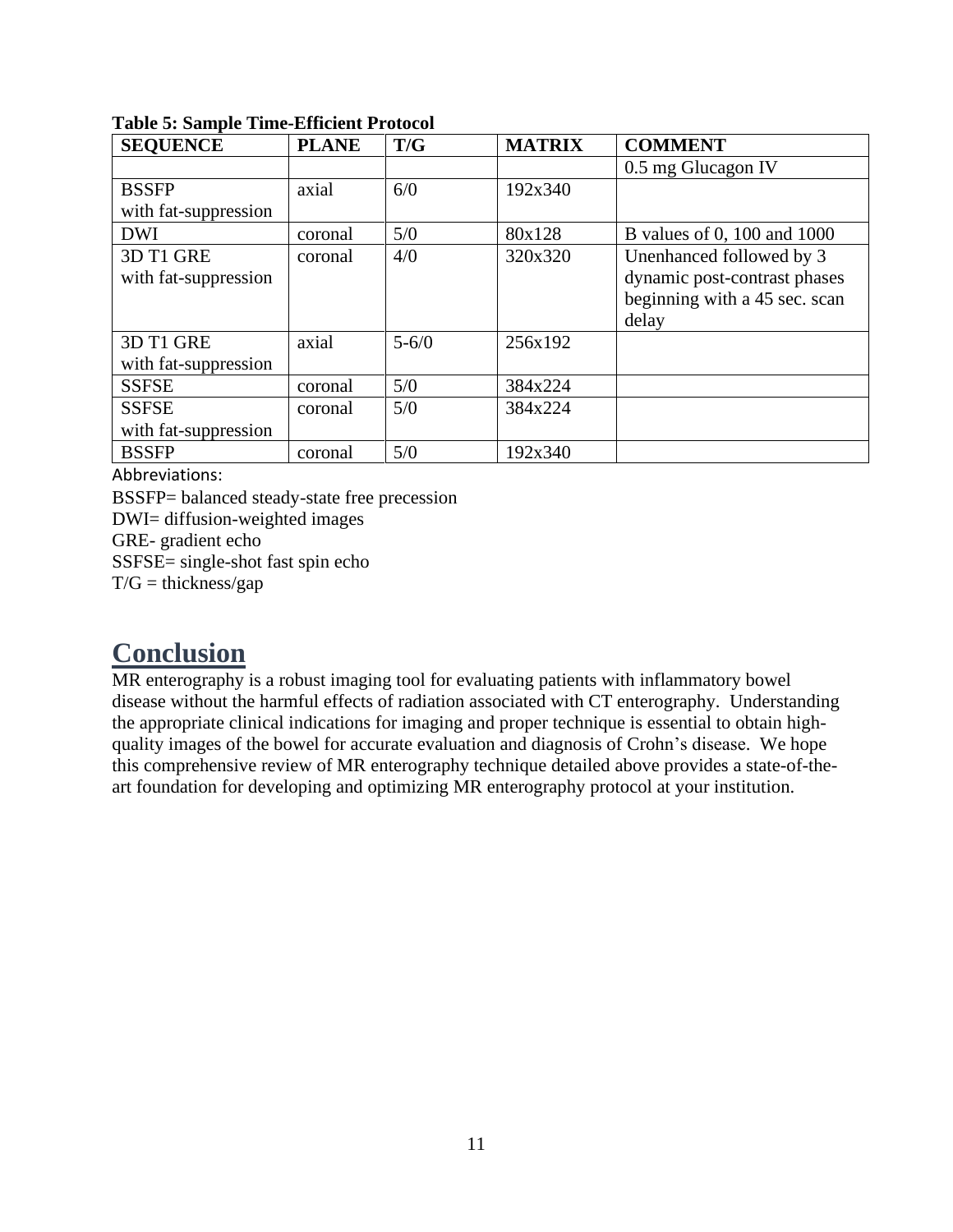| <b>SEQUENCE</b>      | <b>PLANE</b> | T/G       | <b>MATRIX</b> | <b>COMMENT</b>                |
|----------------------|--------------|-----------|---------------|-------------------------------|
|                      |              |           |               | 0.5 mg Glucagon IV            |
| <b>BSSFP</b>         | axial        | 6/0       | 192x340       |                               |
| with fat-suppression |              |           |               |                               |
| <b>DWI</b>           | coronal      | 5/0       | 80x128        | B values of 0, 100 and 1000   |
| 3D T1 GRE            | coronal      | 4/0       | 320x320       | Unenhanced followed by 3      |
| with fat-suppression |              |           |               | dynamic post-contrast phases  |
|                      |              |           |               | beginning with a 45 sec. scan |
|                      |              |           |               | delay                         |
| 3D T1 GRE            | axial        | $5 - 6/0$ | 256x192       |                               |
| with fat-suppression |              |           |               |                               |
| <b>SSFSE</b>         | coronal      | 5/0       | 384x224       |                               |
| <b>SSFSE</b>         | coronal      | 5/0       | 384x224       |                               |
| with fat-suppression |              |           |               |                               |
| <b>BSSFP</b>         | coronal      | 5/0       | 192x340       |                               |

#### **Table 5: Sample Time-Efficient Protocol**

Abbreviations:

BSSFP= balanced steady-state free precession

DWI= diffusion-weighted images

GRE- gradient echo

SSFSE= single-shot fast spin echo

 $T/G =$ thickness/gap

## **Conclusion**

MR enterography is a robust imaging tool for evaluating patients with inflammatory bowel disease without the harmful effects of radiation associated with CT enterography. Understanding the appropriate clinical indications for imaging and proper technique is essential to obtain highquality images of the bowel for accurate evaluation and diagnosis of Crohn's disease. We hope this comprehensive review of MR enterography technique detailed above provides a state-of-theart foundation for developing and optimizing MR enterography protocol at your institution.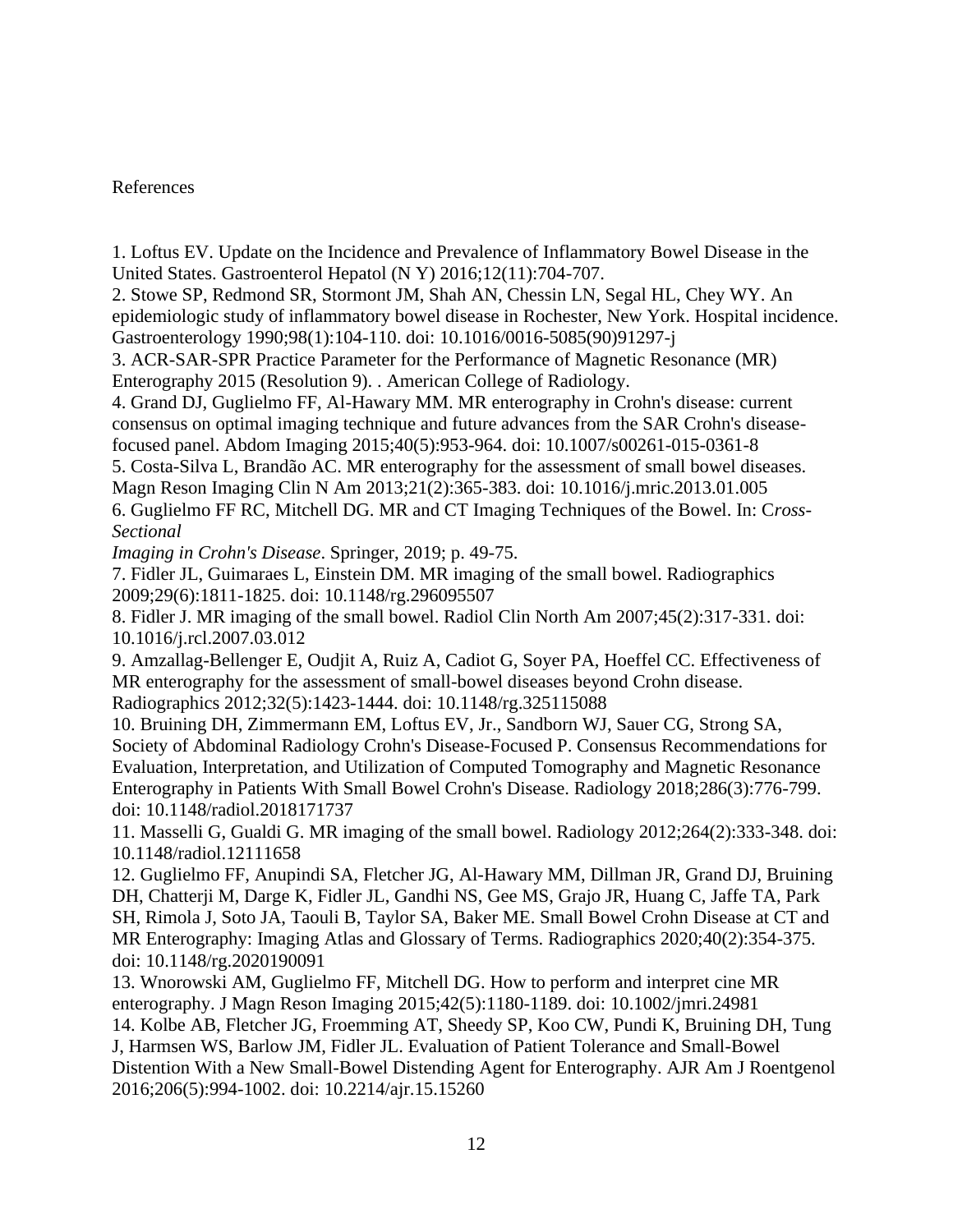#### References

1. Loftus EV. Update on the Incidence and Prevalence of Inflammatory Bowel Disease in the United States. Gastroenterol Hepatol (N Y) 2016;12(11):704-707.

2. Stowe SP, Redmond SR, Stormont JM, Shah AN, Chessin LN, Segal HL, Chey WY. An epidemiologic study of inflammatory bowel disease in Rochester, New York. Hospital incidence. Gastroenterology 1990;98(1):104-110. doi: 10.1016/0016-5085(90)91297-j

3. ACR-SAR-SPR Practice Parameter for the Performance of Magnetic Resonance (MR) Enterography 2015 (Resolution 9). . American College of Radiology.

4. Grand DJ, Guglielmo FF, Al-Hawary MM. MR enterography in Crohn's disease: current consensus on optimal imaging technique and future advances from the SAR Crohn's diseasefocused panel. Abdom Imaging 2015;40(5):953-964. doi: 10.1007/s00261-015-0361-8

5. Costa-Silva L, Brandão AC. MR enterography for the assessment of small bowel diseases. Magn Reson Imaging Clin N Am 2013;21(2):365-383. doi: 10.1016/j.mric.2013.01.005 6. Guglielmo FF RC, Mitchell DG. MR and CT Imaging Techniques of the Bowel. In: C*ross-Sectional*

*Imaging in Crohn's Disease*. Springer, 2019; p. 49-75.

7. Fidler JL, Guimaraes L, Einstein DM. MR imaging of the small bowel. Radiographics 2009;29(6):1811-1825. doi: 10.1148/rg.296095507

8. Fidler J. MR imaging of the small bowel. Radiol Clin North Am 2007;45(2):317-331. doi: 10.1016/j.rcl.2007.03.012

9. Amzallag-Bellenger E, Oudjit A, Ruiz A, Cadiot G, Soyer PA, Hoeffel CC. Effectiveness of MR enterography for the assessment of small-bowel diseases beyond Crohn disease. Radiographics 2012;32(5):1423-1444. doi: 10.1148/rg.325115088

10. Bruining DH, Zimmermann EM, Loftus EV, Jr., Sandborn WJ, Sauer CG, Strong SA, Society of Abdominal Radiology Crohn's Disease-Focused P. Consensus Recommendations for Evaluation, Interpretation, and Utilization of Computed Tomography and Magnetic Resonance Enterography in Patients With Small Bowel Crohn's Disease. Radiology 2018;286(3):776-799. doi: 10.1148/radiol.2018171737

11. Masselli G, Gualdi G. MR imaging of the small bowel. Radiology 2012;264(2):333-348. doi: 10.1148/radiol.12111658

12. Guglielmo FF, Anupindi SA, Fletcher JG, Al-Hawary MM, Dillman JR, Grand DJ, Bruining DH, Chatterji M, Darge K, Fidler JL, Gandhi NS, Gee MS, Grajo JR, Huang C, Jaffe TA, Park SH, Rimola J, Soto JA, Taouli B, Taylor SA, Baker ME. Small Bowel Crohn Disease at CT and MR Enterography: Imaging Atlas and Glossary of Terms. Radiographics 2020;40(2):354-375. doi: 10.1148/rg.2020190091

13. Wnorowski AM, Guglielmo FF, Mitchell DG. How to perform and interpret cine MR enterography. J Magn Reson Imaging 2015;42(5):1180-1189. doi: 10.1002/jmri.24981 14. Kolbe AB, Fletcher JG, Froemming AT, Sheedy SP, Koo CW, Pundi K, Bruining DH, Tung J, Harmsen WS, Barlow JM, Fidler JL. Evaluation of Patient Tolerance and Small-Bowel Distention With a New Small-Bowel Distending Agent for Enterography. AJR Am J Roentgenol 2016;206(5):994-1002. doi: 10.2214/ajr.15.15260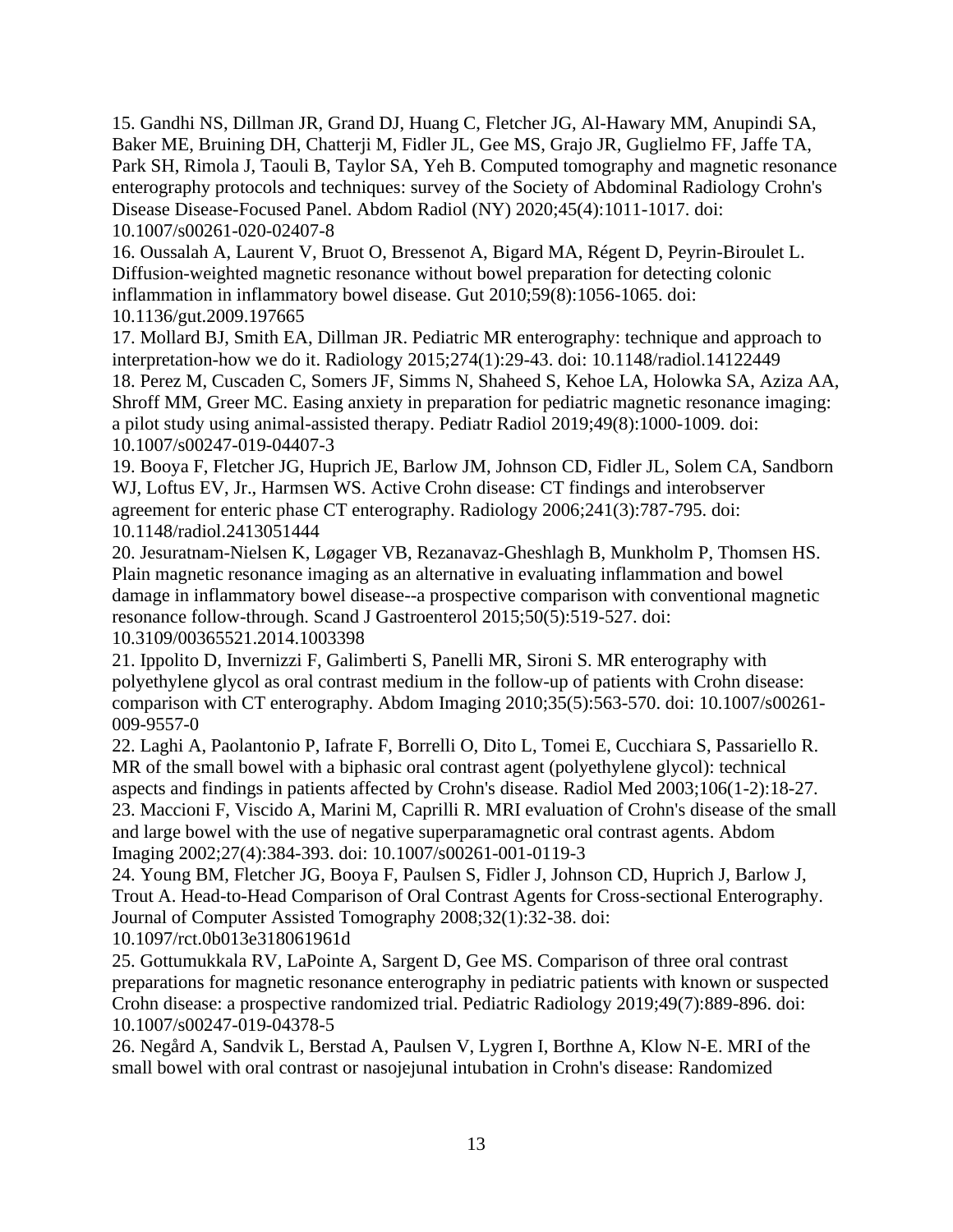15. Gandhi NS, Dillman JR, Grand DJ, Huang C, Fletcher JG, Al-Hawary MM, Anupindi SA, Baker ME, Bruining DH, Chatterji M, Fidler JL, Gee MS, Grajo JR, Guglielmo FF, Jaffe TA, Park SH, Rimola J, Taouli B, Taylor SA, Yeh B. Computed tomography and magnetic resonance enterography protocols and techniques: survey of the Society of Abdominal Radiology Crohn's Disease Disease-Focused Panel. Abdom Radiol (NY) 2020;45(4):1011-1017. doi: 10.1007/s00261-020-02407-8

16. Oussalah A, Laurent V, Bruot O, Bressenot A, Bigard MA, Régent D, Peyrin-Biroulet L. Diffusion-weighted magnetic resonance without bowel preparation for detecting colonic inflammation in inflammatory bowel disease. Gut 2010;59(8):1056-1065. doi:

10.1136/gut.2009.197665

17. Mollard BJ, Smith EA, Dillman JR. Pediatric MR enterography: technique and approach to interpretation-how we do it. Radiology 2015;274(1):29-43. doi: 10.1148/radiol.14122449 18. Perez M, Cuscaden C, Somers JF, Simms N, Shaheed S, Kehoe LA, Holowka SA, Aziza AA, Shroff MM, Greer MC. Easing anxiety in preparation for pediatric magnetic resonance imaging: a pilot study using animal-assisted therapy. Pediatr Radiol 2019;49(8):1000-1009. doi: 10.1007/s00247-019-04407-3

19. Booya F, Fletcher JG, Huprich JE, Barlow JM, Johnson CD, Fidler JL, Solem CA, Sandborn WJ, Loftus EV, Jr., Harmsen WS. Active Crohn disease: CT findings and interobserver agreement for enteric phase CT enterography. Radiology 2006;241(3):787-795. doi: 10.1148/radiol.2413051444

20. Jesuratnam-Nielsen K, Løgager VB, Rezanavaz-Gheshlagh B, Munkholm P, Thomsen HS. Plain magnetic resonance imaging as an alternative in evaluating inflammation and bowel damage in inflammatory bowel disease--a prospective comparison with conventional magnetic resonance follow-through. Scand J Gastroenterol 2015;50(5):519-527. doi: 10.3109/00365521.2014.1003398

21. Ippolito D, Invernizzi F, Galimberti S, Panelli MR, Sironi S. MR enterography with polyethylene glycol as oral contrast medium in the follow-up of patients with Crohn disease: comparison with CT enterography. Abdom Imaging 2010;35(5):563-570. doi: 10.1007/s00261- 009-9557-0

22. Laghi A, Paolantonio P, Iafrate F, Borrelli O, Dito L, Tomei E, Cucchiara S, Passariello R. MR of the small bowel with a biphasic oral contrast agent (polyethylene glycol): technical aspects and findings in patients affected by Crohn's disease. Radiol Med 2003;106(1-2):18-27. 23. Maccioni F, Viscido A, Marini M, Caprilli R. MRI evaluation of Crohn's disease of the small and large bowel with the use of negative superparamagnetic oral contrast agents. Abdom

Imaging 2002;27(4):384-393. doi: 10.1007/s00261-001-0119-3

24. Young BM, Fletcher JG, Booya F, Paulsen S, Fidler J, Johnson CD, Huprich J, Barlow J, Trout A. Head-to-Head Comparison of Oral Contrast Agents for Cross-sectional Enterography. Journal of Computer Assisted Tomography 2008;32(1):32-38. doi: 10.1097/rct.0b013e318061961d

25. Gottumukkala RV, LaPointe A, Sargent D, Gee MS. Comparison of three oral contrast preparations for magnetic resonance enterography in pediatric patients with known or suspected Crohn disease: a prospective randomized trial. Pediatric Radiology 2019;49(7):889-896. doi: 10.1007/s00247-019-04378-5

26. Negård A, Sandvik L, Berstad A, Paulsen V, Lygren I, Borthne A, Klow N-E. MRI of the small bowel with oral contrast or nasojejunal intubation in Crohn's disease: Randomized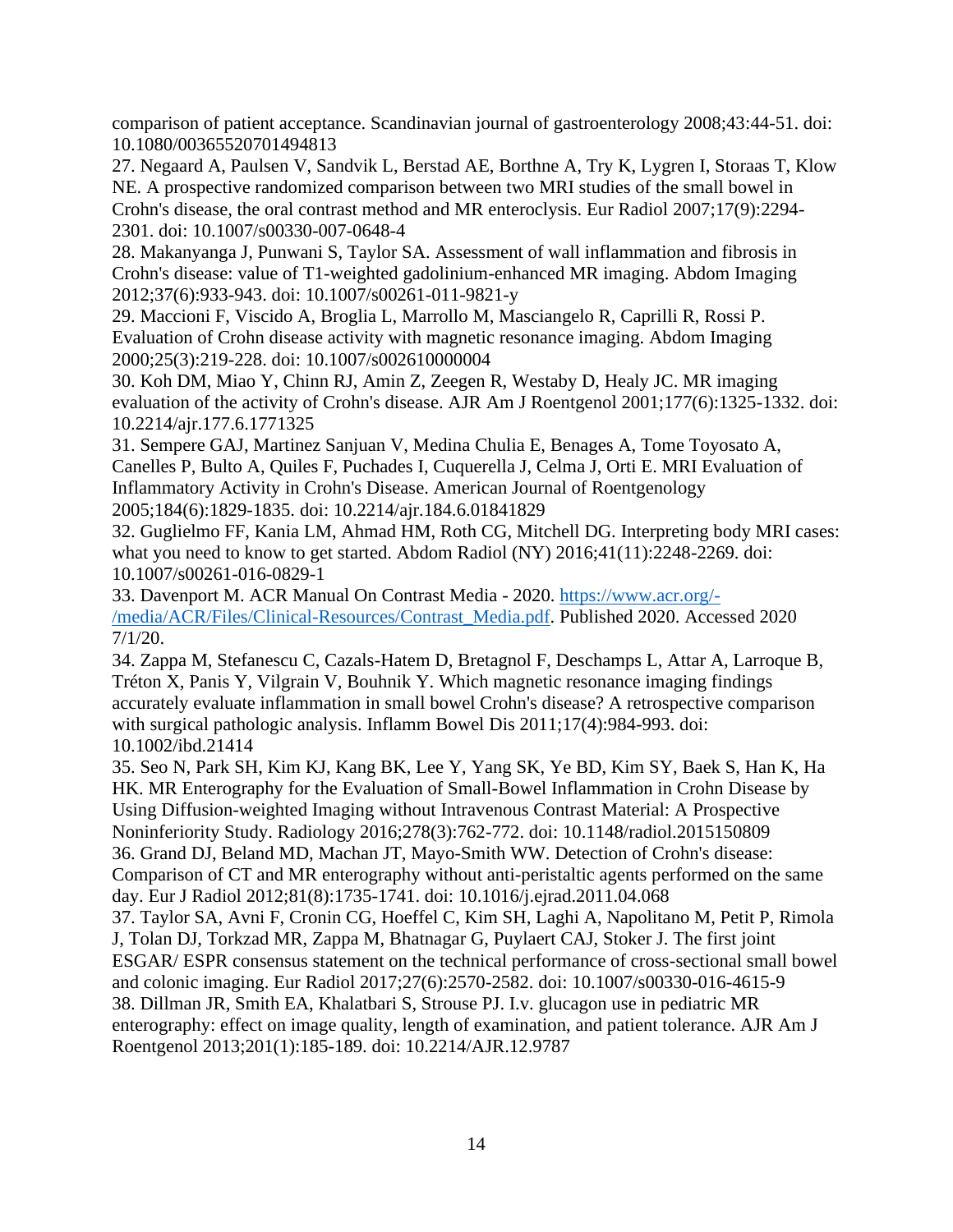comparison of patient acceptance. Scandinavian journal of gastroenterology 2008;43:44-51. doi: 10.1080/00365520701494813

27. Negaard A, Paulsen V, Sandvik L, Berstad AE, Borthne A, Try K, Lygren I, Storaas T, Klow NE. A prospective randomized comparison between two MRI studies of the small bowel in Crohn's disease, the oral contrast method and MR enteroclysis. Eur Radiol 2007;17(9):2294- 2301. doi: 10.1007/s00330-007-0648-4

28. Makanyanga J, Punwani S, Taylor SA. Assessment of wall inflammation and fibrosis in Crohn's disease: value of T1-weighted gadolinium-enhanced MR imaging. Abdom Imaging 2012;37(6):933-943. doi: 10.1007/s00261-011-9821-y

29. Maccioni F, Viscido A, Broglia L, Marrollo M, Masciangelo R, Caprilli R, Rossi P. Evaluation of Crohn disease activity with magnetic resonance imaging. Abdom Imaging 2000;25(3):219-228. doi: 10.1007/s002610000004

30. Koh DM, Miao Y, Chinn RJ, Amin Z, Zeegen R, Westaby D, Healy JC. MR imaging evaluation of the activity of Crohn's disease. AJR Am J Roentgenol 2001;177(6):1325-1332. doi: 10.2214/ajr.177.6.1771325

31. Sempere GAJ, Martinez Sanjuan V, Medina Chulia E, Benages A, Tome Toyosato A, Canelles P, Bulto A, Quiles F, Puchades I, Cuquerella J, Celma J, Orti E. MRI Evaluation of Inflammatory Activity in Crohn's Disease. American Journal of Roentgenology 2005;184(6):1829-1835. doi: 10.2214/ajr.184.6.01841829

32. Guglielmo FF, Kania LM, Ahmad HM, Roth CG, Mitchell DG. Interpreting body MRI cases: what you need to know to get started. Abdom Radiol (NY) 2016;41(11):2248-2269. doi: 10.1007/s00261-016-0829-1

33. Davenport M. ACR Manual On Contrast Media - 2020. [https://www.acr.org/-](https://www.acr.org/-/media/ACR/Files/Clinical-Resources/Contrast_Media.pdf) [/media/ACR/Files/Clinical-Resources/Contrast\\_Media.pdf.](https://www.acr.org/-/media/ACR/Files/Clinical-Resources/Contrast_Media.pdf) Published 2020. Accessed 2020 7/1/20.

34. Zappa M, Stefanescu C, Cazals-Hatem D, Bretagnol F, Deschamps L, Attar A, Larroque B, Tréton X, Panis Y, Vilgrain V, Bouhnik Y. Which magnetic resonance imaging findings accurately evaluate inflammation in small bowel Crohn's disease? A retrospective comparison with surgical pathologic analysis. Inflamm Bowel Dis 2011;17(4):984-993. doi: 10.1002/ibd.21414

35. Seo N, Park SH, Kim KJ, Kang BK, Lee Y, Yang SK, Ye BD, Kim SY, Baek S, Han K, Ha HK. MR Enterography for the Evaluation of Small-Bowel Inflammation in Crohn Disease by Using Diffusion-weighted Imaging without Intravenous Contrast Material: A Prospective Noninferiority Study. Radiology 2016;278(3):762-772. doi: 10.1148/radiol.2015150809 36. Grand DJ, Beland MD, Machan JT, Mayo-Smith WW. Detection of Crohn's disease: Comparison of CT and MR enterography without anti-peristaltic agents performed on the same day. Eur J Radiol 2012;81(8):1735-1741. doi: 10.1016/j.ejrad.2011.04.068 37. Taylor SA, Avni F, Cronin CG, Hoeffel C, Kim SH, Laghi A, Napolitano M, Petit P, Rimola J, Tolan DJ, Torkzad MR, Zappa M, Bhatnagar G, Puylaert CAJ, Stoker J. The first joint ESGAR/ ESPR consensus statement on the technical performance of cross-sectional small bowel and colonic imaging. Eur Radiol 2017;27(6):2570-2582. doi: 10.1007/s00330-016-4615-9 38. Dillman JR, Smith EA, Khalatbari S, Strouse PJ. I.v. glucagon use in pediatric MR enterography: effect on image quality, length of examination, and patient tolerance. AJR Am J Roentgenol 2013;201(1):185-189. doi: 10.2214/AJR.12.9787